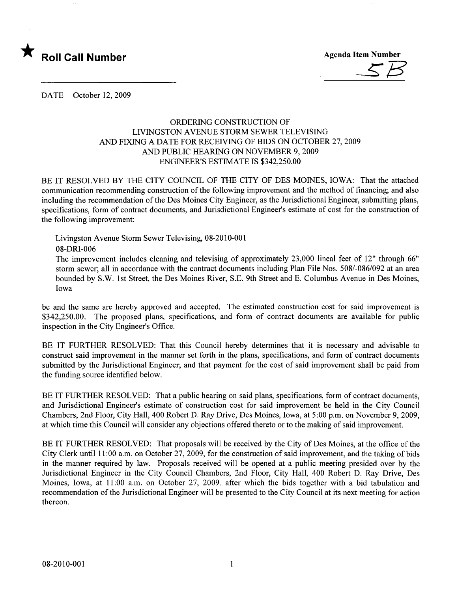

DATE October 12,2009

## ORDERING CONSTRUCTION OF LIVINGSTON AVENUE STORM SEWER TELEVISING AND FIXING A DATE FOR RECEIVING OF BIDS ON OCTOBER 27,2009 AND PUBLIC HEARING ON NOVEMBER 9, 2009 ENGINEER'S ESTIMATE IS \$342,250.00

BE IT RESOLVED BY THE CITY COUNCIL OF THE CITY OF DES MOINES, LOW A: That the attached communication recommending construction of the following improvement and the method of financing; and also including the recommendation of the Des Moines City Engineer, as the Jurisdictional Engineer, submitting plans, specifications, form of contract documents, and Jurisdictional Engineer's estimate of cost for the construction of the following improvement:

Livingston Avenue Storm Sewer Televising, 08-2010-001 08-DRI-006

The improvement includes cleaning and televising of approximately 23,000 lineal feet of 12" through 66" storm sewer; all in accordance with the contract documents including Plan File Nos. 508/-086/092 at an area bounded by S.W. 1st Street, the Des Moines River, S.E. 9th Street and E. Columbus Avenue in Des Moines, Iowa

be and the same are hereby approved and accepted. The estimated construction cost for said improvement is \$342,250.00. The proposed plans, specifications, and form of contract documents are available for public inspection in the City Engineer's Office.

BE IT FURTHER RESOLVED: That this Council hereby determines that it is necessary and advisable to construct said improvement in the manner set forth in the plans, specifications, and form of contract documents submitted by the Jurisdictional Engineer; and that payment for the cost of said improvement shall be paid from the funding source identified below.

BE IT FURTHER RESOLVED: That a public hearing on said plans, specifications, form of contract documents, and Jurisdictional Engineer's estimate of construction cost for said improvement be held in the City Council Chambers, 2nd Floor, City Hall, 400 Robert D. Ray Drive, Des Moines, Iowa, at 5:00 p.m. on November 9,2009, at which time this Council wil consider any objections offered thereto or to the making of said improvement.

BE IT FURTHER RESOLVED: That proposals wil be received by the City of Des Moines, at the office of the City Clerk until 11 :00 a.m. on October 27, 2009, for the construction of said improvement, and the taking of bids in the manner required by law. Proposals received will be opened at a public meeting presided over by the Jurisdictional Engineer in the City Council Chambers, 2nd Floor, City Hall, 400 Robert D. Ray Drive, Des Moines, Iowa, at 11:00 a.m. on October 27, 2009, after which the bids together with a bid tabulation and recommendation of the Jurisdictional Engineer wil be presented to the City Council at its next meeting for action thereon.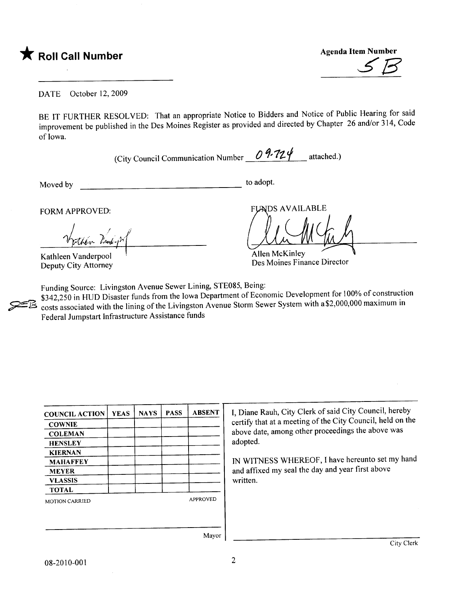

Agenda Item Number

DATE October 12,2009

BE IT FURTHER RESOLVED: That an appropriate Notice to Bidders and Notice of Public Hearing for said improvement be published in the Des Moines Register as provided and directed by Chapter 26 and/or 314, Code of Iowa.

(City Council Communication Number  $\sqrt{U' L y}$  attached.)

Moved by

 $\overline{\phantom{a}}$  to adopt.

FORM APPROVED:

Vyttén Vindyn

Kathleen Vanderpool ' Deputy City Attorney

**FUNDS AVAILABLE** 

Allen McKinley Des Moines Finance Director

Funding Source: Livingston Avenue Sewer Lining, STE085, Being:

\$342,250 in HUD Disaster funds from the Iowa Department of Economic Development for 100% of construction costs associated with the lining of the Livingston Avenue Storm Sewer System with a\$2,000,000 maximum in Federal Jumpstart Infrastructure Assistance funds

| <b>COUNCIL ACTION</b> | <b>YEAS</b> | <b>NAYS</b> | <b>PASS</b> | <b>ABSENT</b>   |
|-----------------------|-------------|-------------|-------------|-----------------|
| <b>COWNIE</b>         |             |             |             |                 |
| <b>COLEMAN</b>        |             |             |             |                 |
| <b>HENSLEY</b>        |             |             |             |                 |
| <b>KIERNAN</b>        |             |             |             |                 |
| <b>MAHAFFEY</b>       |             |             |             |                 |
| <b>MEYER</b>          |             |             |             |                 |
| <b>VLASSIS</b>        |             |             |             |                 |
| <b>TOTAL</b>          |             |             |             |                 |
| <b>MOTION CARRIED</b> |             |             |             | <b>APPROVED</b> |
|                       |             |             |             |                 |
|                       |             |             |             |                 |

I, Diane Rauh, City Clerk of said City Council, hereby certify that at a meeting of the City Council, held on the above date, among other proceedings the above was adopted.

IN WITNESS WHEREOF, I have hereunto set my hand and affixed my seal the day and year first above written.

Mayor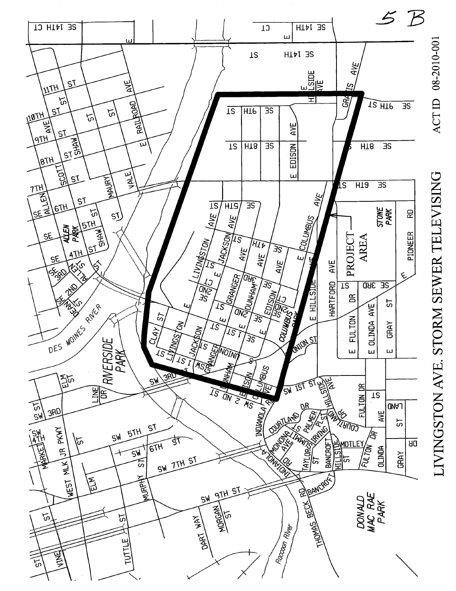